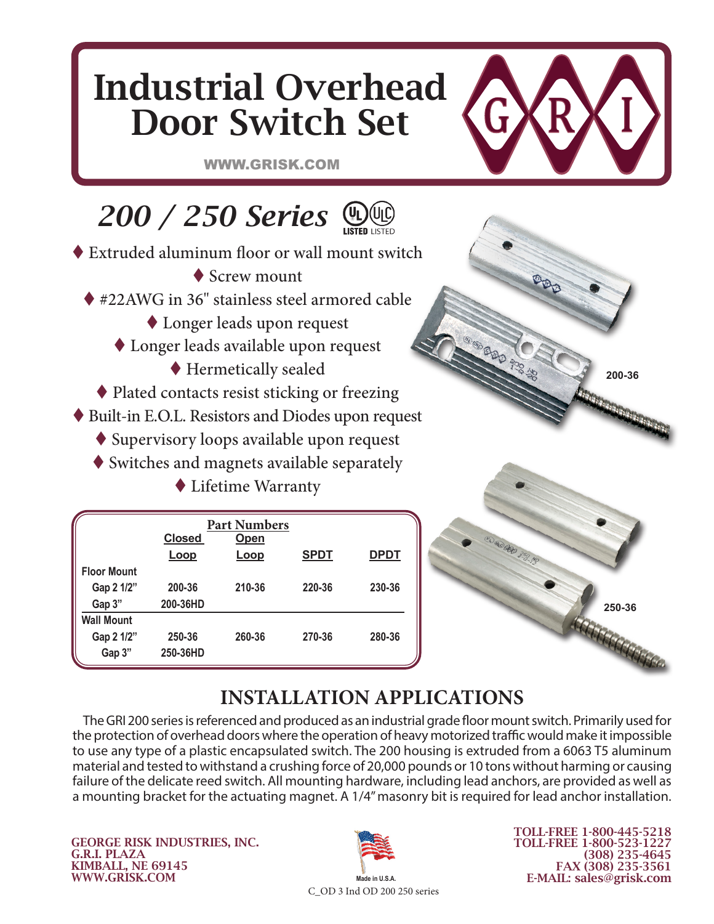# Industrial Overhead Door Switch Set

WWW.GRISK.COM

## **200 / 250 Series**  $\bigcirc$

- ◆ Extruded aluminum floor or wall mount switch
	- ◆ Screw mount
	- ◆ #22AWG in 36" stainless steel armored cable
		- Longer leads upon request
		- Longer leads available upon request
			- Hermetically sealed
	- ◆ Plated contacts resist sticking or freezing
- Built-in E.O.L. Resistors and Diodes upon request
	- Supervisory loops available upon request
	- Switches and magnets available separately

Lifetime Warranty

|                    | <b>Part Numbers</b><br><b>Closed</b> |             |             |             |
|--------------------|--------------------------------------|-------------|-------------|-------------|
|                    | <u>Loop</u>                          | <u>Loop</u> | <b>SPDT</b> | <u>DPDT</u> |
| <b>Floor Mount</b> |                                      |             |             |             |
| Gap 2 1/2"         | 200-36                               | 210-36      | 220-36      | 230-36      |
| Gap 3"             | 200-36HD                             |             |             |             |
| <b>Wall Mount</b>  |                                      |             |             |             |
| Gap 2 1/2"         | 250-36                               | 260-36      | 270-36      | 280-36      |
| Gap 3"             | 250-36HD                             |             |             |             |



**200-36**

## **INSTALLATION APPLICATIONS**

The GRI 200 series is referenced and produced as an industrial grade floor mount switch. Primarily used for the protection of overhead doors where the operation of heavy motorized traffic would make it impossible to use any type of a plastic encapsulated switch. The 200 housing is extruded from a 6063 T5 aluminum material and tested to withstand a crushing force of 20,000 pounds or 10 tons without harming or causing failure of the delicate reed switch. All mounting hardware, including lead anchors, are provided as well as a mounting bracket for the actuating magnet. A 1/4" masonry bit is required for lead anchor installation.

GEORGE RISK INDUSTRIES, INC. G.R.I. PLAZA KIMBALL, NE 69145 WWW.GRISK.COM



TOLL-FREE 1-800-445-5218 TOLL-FREE 1-800-523-1227 (308) 235-4645 FAX (308) 235-3561 E-MAIL: sales@grisk.com